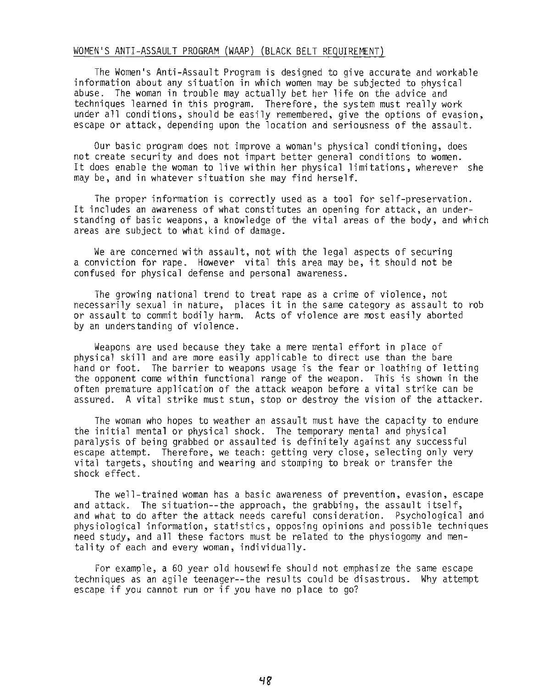#### WOMEN'S ANTI-ASSAULT PROGRAM (WAAP) (BLACK BELT REQUIREMENT)

The Women's Anti-Assault Program is designed to give accurate and workable information about any situation in which women may be subjected to physical abuse. The woman in trouble may actually bet her life on the advice and techniques learned in this program. Therefore, the system must really work under all conditions, should be easily remembered, give the options of evasion, escape or attack, depending upon the location and seriousness of the assault.

Our basic program does not improve a woman's physical conditioning, does not create security and does not impart better general conditions to women. It does enable the woman to live within her physical limitations, wherever she may be, and in whatever situation she may find herself.

The proper information is correctly used as a tool for self-preservation. It includes an awareness of what constitutes an opening for attack, an understanding of basic weapons, a knowledge of the vital areas of the body, and which areas are subject to what kind of damage.

We are concerned with assault, not with the legal aspects of securing a conviction for rape. However vital this area may be, it should not be confused for physical defense and personal awareness.

The growing national trend to treat rape as a crime of violence, not necessarily sexual in nature, places it in the same category as assault to rob or assault to commit bodily harm. Acts of violence are most easily aborted by an understanding of violence.

Weapons are used because they take a mere mental effort in place of physical skill and are more easily applicable to direct use than the bare hand or foot. The barrier to weapons usage is the fear or loathing of letting the opponent come within functional range of the weapon. This is shown in the often premature application of the attack weapon before a vital strike can be assured. A vital strike must stun, stop or destroy the vision of the attacker.

The woman who hopes to weather an assault must have the capacity to endure the initial mental or physical shock. The temporary mental and physical paralysis of being grabbed or assaulted is definitely against any successful escape attempt. Therefore, we teach: getting very close, selecting only very vital targets, shouting and wearing and stomping to break or transfer the shock effect.

The well-trained woman has a basic awareness of prevention, evasion, escape and attack. The situation--the approach, the grabbing, the assault itself, and what to do after the attack needs careful consideration. Psychological and physiological information, statistics, opposing opinions and possible techniques need study, and all these factors must be related to the physiogomy and mentality of each and every woman, individually.

For example, a 60 year old housewife should not emphasize the same escape techniques as an agile teenager--the results could be disastrous. Why attempt escape if you cannot run or if you have no place to go?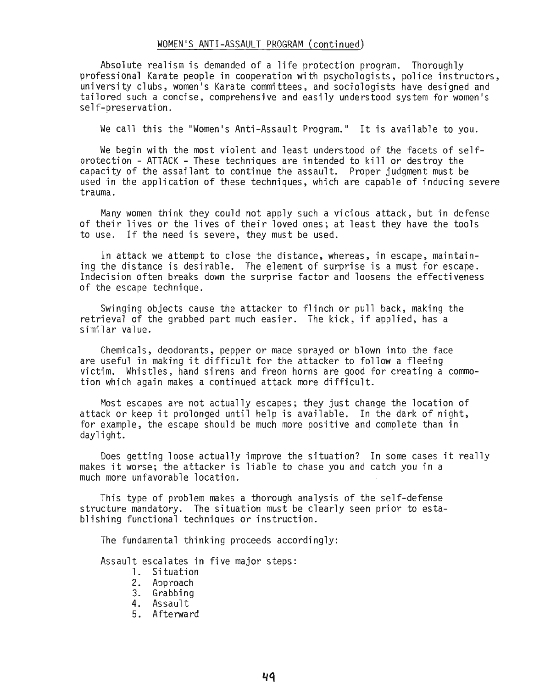#### WOMEN'S ANTI-ASSAULT PROGRAM (continued)

Absolute realism is demanded of a life protection program. Thoroughly professional Karate people in cooperation with psychologists, police instructors, university clubs, women's Karate committees, and sociologists have designed and tailored such a concise, comprehensive and easily understood system for women's self-preservation.

We call this the "Women's Anti-Assault Program." It is available to you.

We begin with the most violent and least understood of the facets of selfprotection - ATTACK - These techniques are intended to kill or destroy the capacity of the assailant to continue the assault. Proper judgment must be used in the application of these techniques, which are capable of inducing severe trauma.

Many women think they could not apply such a vicious attack, but in defense of their lives or the lives of their loved ones; at least they have the tools to use. If the need is severe, they must be used.

In attack we attempt to close the distance, whereas, in escape, maintaining the distance is desirable. The element of surprise is a must for escape. Indecision often breaks down the surprise factor and loosens the effectiveness of the escape technique.

Swinging objects cause the attacker to flinch or pull back, making the retrieval of the grabbed part much easier. The kick, if applied, has a similar value.

Chemicals, deodorants, pepper or mace sprayed or blown into the face are useful in making it difficult for the attacker to follow a fleeing victim. Whistles, hand sirens and freon horns are good for creating a commotion which again makes a continued attack more difficult.

Most escapes are not actually escapes; they just change the location of attack or keep it prolonged until help is available. In the dark of night, for example, the escape should be much more positive and complete than in daylight.

Does getting loose actually improve the situation? In some cases it really makes it worse; the attacker is liable to chase you and catch you in a much more unfavorable location.

This type of problem makes a thorough analysis of the self-defense structure mandatory. The situation must be clearly seen prior to establishing functional techniques or instruction.

The fundamental thinking proceeds accordingly:

Assault escalates in five major steps:

- 1. Situation
- 2. Approach
- 3. Grabbing
- 4. Assault
- 5. Afterward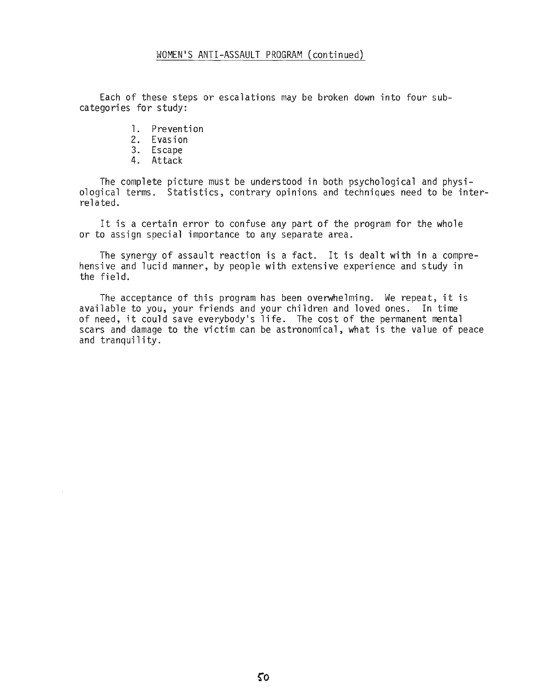### WOMEN'S ANTI-ASSAULT PROGRAM (continued)

Each of these steps or escalations may be broken down into four subcategories for study:

- 1. Prevention
- 2. Evasion
- 3. Escape
- 4. Attack

The complete picture must be understood in both psychological and physiological terms. Statistics, contrary opinions and techniques need to be interrelated.

It is a certain error to confuse any part of the program for the whole or to assign special importance to any separate area.

The synergy of assault reaction is a fact. It is dealt with in a comprehensive and lucid manner, by people with extensive experience and study in the field.

The acceptance of this program has been overwhelming. We repeat, it is available to you, your friends and your children and loved ones. In time of need, it could save everybody's life. The cost of the permanent mental scars and damage to the victim can be astronomical, what is the value of peace and tranqui 1ity.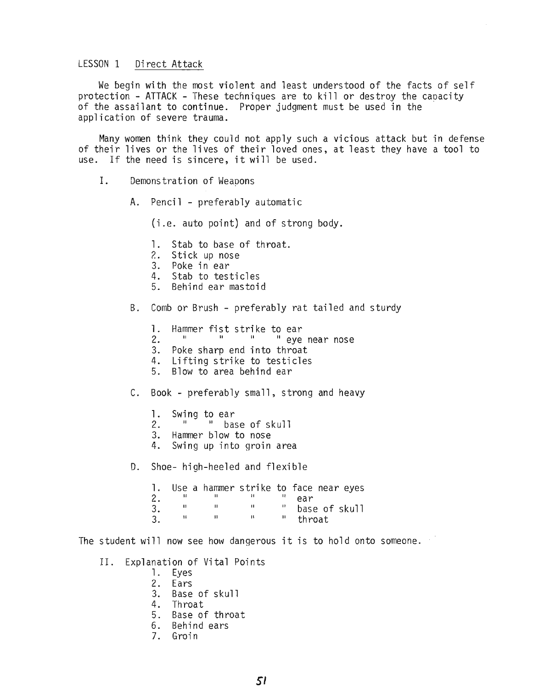LESSON 1 Direct Attack

We begin with the most violent and least understood of the facts of self protection - ATTACK - These techniques are to kill or destroy the capacity of the assailant to continue. Proper judgment must be used in the application of severe trauma.

Many women think they could not apply such a vicious attack but in defense of their lives or the lives of their loved ones, at least they have a tool to use. If the need is sincere, it will be used.

- I. Demonstration of Weapons
	- A. Pencil preferably automatic

(i.e. auto point) and of strong body.

- 1. Stab to base of throat.
- ?. Stick up nose
- 3. Poke in ear
- 4. Stab to testicles
- 5. Behind ear mastoid
- B. Comb or Brush preferably rat tailed and sturdy
	- 1. Hammer fist strike to ear<br>2. " " " " " eve
		- II II II eye near nose
	- 3. Poke sharp end into throat
	- 4. Lifting strike to testicles<br>5. Blow to area behind ear
	- 5. Blow to area behind ear

C. Book - preferably small, strong and heavy

- 1. Swing to ear<br>2 bas
- 2. " " base of skull
- 3. Hammer blow to nose
- 4. Swing up into groin area

D. Shoe- high-heeled and flexible

|    |  | 1. Use a hammer strike to face near eyes |        |               |
|----|--|------------------------------------------|--------|---------------|
| 2. |  |                                          | ear    |               |
| 3. |  | ш                                        |        | base of skull |
| 3  |  |                                          | throat |               |

The student will now see how dangerous it is to hold onto someone.

- II. Explanation of Vital Points
	- 1. Eyes
	- 2. Ears
	- 3. Base of skull
	- 4. Throat
	- 5. Base of throat
	- 6. Behind ears
	- 7. Groin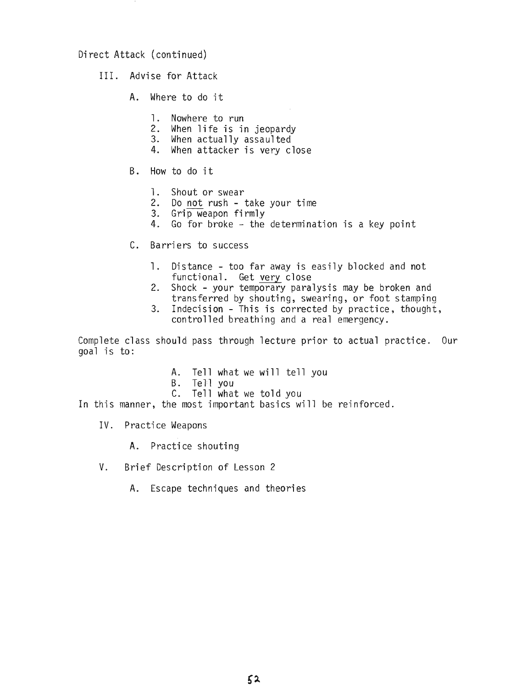### Direct Attack (continued)

- III. Advise for Attack
	- A. Where to do it
		- 1. Nowhere to run
		- 2. When life is in jeopardy
		- 3. When actually assaulted
		- 4. When attacker is very close
	- B. How to do it
		- 1. Shout or swear
		- 2. Do not rush take your time
		- 3. Grip weapon firmly
		- 4. Go for broke the determination is a key point
	- C. Barriers to success
		- 1. Distance too far away is easily blocked and not functional. Get very close
		- 2. Shock your temporary paralysis may be broken and transferred by shouting, swearing, or foot stamping
		- 3. Indecision This is corrected by practice, thought, controlled breathing and a real emergency.

Complete class should pass through lecture prior to actual practice. Our goal is to:

- A. Tell what we will tell you
- B. Tell you
- C. Tell what we told you

In this manner, the most important basics will be reinforced.

- IV. Practice Weapons
	- A. Practice shouting
- V. Brief Description of Lesson 2
	- A. Escape techniques and theories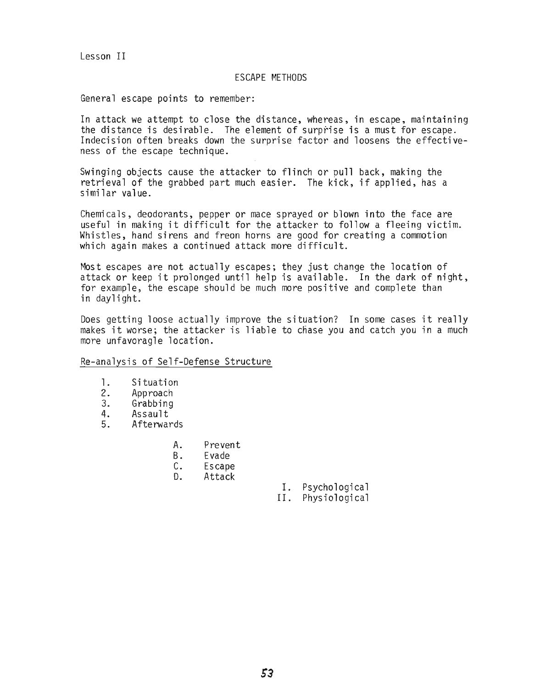Lesson II

### ESCAPE METHODS

General escape points to remember:

In attack we attempt to close the distance, whereas, in escape, maintaining the distance is desirable. The element of surprise is a must for escape. Indecision often breaks down the surprise factor and loosens the effectiveness of the escape technique.

Swinging objects cause the attacker to flinch or pull back, making the retrieval of the grabbed part much easier. The kick, if applied, has a similar value.

Chemicals, deodorants, pepper or mace sprayed or blown into the face are useful in making it difficult for the attacker to follow <sup>a</sup> fleeing victim. Whistles, hand sirens and freon horns are good for creating a commotion which again makes a continued attack more difficult.

Most escapes are not actually escapes; they just change the location of attack or keep it prolonged until help is available. In the dark of night, for example, the escape should be much more positive and complete than in daylight.

Does getting loose actually improve the situation? In some cases it really makes it worse; the attacker is liable to chase you and catch you in a much more unfavoragle location.

Re-analysis of Self-Defense Structure

- 1. Situation
- 
- 2. Approach<br>3. Grabbing 3. Grabbing<br>4. Assault
- 
- 4. Assault<br>5. Afterway **Afterwards** 
	- A. Prevent
	- B. Evade
	- C. Escape<br>D. Attack
		- Attack
- I. Psychological
- II. Physiological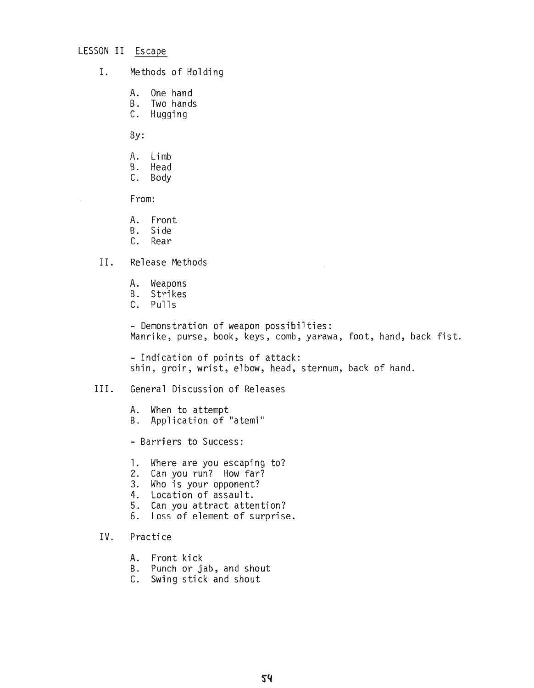# LESSON II Escape

- I. Methods of Holding
	- A. One hand
	- B. Two hands
	- C. Hugging

By:

- A. Limb
- B. Head
- C. Body

From:

- A. Front<br>B. Side
- B. Si de
- C. Rear
- II. Release Methods
	- A. Weapons
	- B. Stri kes
	- C. Pulls

- Demonstration of weapon possibi1ties: Manrike, purse, book, keys, comb, yarawa, foot, hand, back fist.

- Indication of points of attack: shin, groin, wrist, elbow, head, sternum, back of hand.

## III. General Discussion of Releases

A. When to attempt B. Application of "atemi"

- Barriers to Success:

- 1. Where are you escaping to?
- 2. Can you run? How far?
- 3. Who is your opponent?
- 4. Location of assault.
- 5. Can you attract attention?
- 6. Loss of element of surprise.

## IV. Practice

- A. Front kick
- B. Punch or jab, and shout
- C. Swing stick and shout